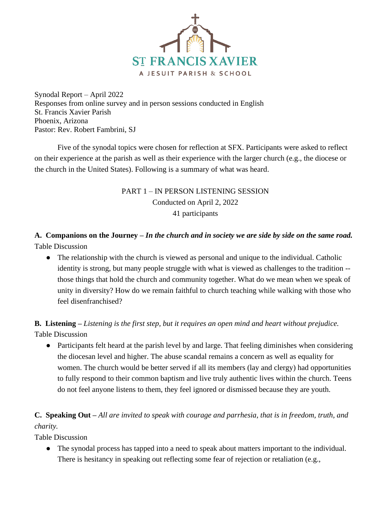

Synodal Report – April 2022 Responses from online survey and in person sessions conducted in English St. Francis Xavier Parish Phoenix, Arizona Pastor: Rev. Robert Fambrini, SJ

Five of the synodal topics were chosen for reflection at SFX. Participants were asked to reflect on their experience at the parish as well as their experience with the larger church (e.g., the diocese or the church in the United States). Following is a summary of what was heard.

## PART 1 – IN PERSON LISTENING SESSION Conducted on April 2, 2022 41 participants

## **A. Companions on the Journey –** *In the church and in society we are side by side on the same road.* Table Discussion

• The relationship with the church is viewed as personal and unique to the individual. Catholic identity is strong, but many people struggle with what is viewed as challenges to the tradition - those things that hold the church and community together. What do we mean when we speak of unity in diversity? How do we remain faithful to church teaching while walking with those who feel disenfranchised?

## **B. Listening –** *Listening is the first step, but it requires an open mind and heart without prejudice.* Table Discussion

● Participants felt heard at the parish level by and large. That feeling diminishes when considering the diocesan level and higher. The abuse scandal remains a concern as well as equality for women. The church would be better served if all its members (lay and clergy) had opportunities to fully respond to their common baptism and live truly authentic lives within the church. Teens do not feel anyone listens to them, they feel ignored or dismissed because they are youth.

## **C. Speaking Out –** *All are invited to speak with courage and parrhesia, that is in freedom, truth, and charity.*

Table Discussion

● The synodal process has tapped into a need to speak about matters important to the individual. There is hesitancy in speaking out reflecting some fear of rejection or retaliation (e.g.,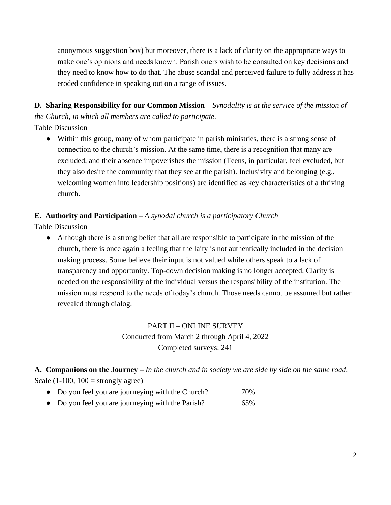anonymous suggestion box) but moreover, there is a lack of clarity on the appropriate ways to make one's opinions and needs known. Parishioners wish to be consulted on key decisions and they need to know how to do that. The abuse scandal and perceived failure to fully address it has eroded confidence in speaking out on a range of issues.

**D. Sharing Responsibility for our Common Mission –** *Synodality is at the service of the mission of the Church, in which all members are called to participate.*

Table Discussion

● Within this group, many of whom participate in parish ministries, there is a strong sense of connection to the church's mission. At the same time, there is a recognition that many are excluded, and their absence impoverishes the mission (Teens, in particular, feel excluded, but they also desire the community that they see at the parish). Inclusivity and belonging (e.g., welcoming women into leadership positions) are identified as key characteristics of a thriving church.

#### **E. Authority and Participation –** *A synodal church is a participatory Church*

Table Discussion

● Although there is a strong belief that all are responsible to participate in the mission of the church, there is once again a feeling that the laity is not authentically included in the decision making process. Some believe their input is not valued while others speak to a lack of transparency and opportunity. Top-down decision making is no longer accepted. Clarity is needed on the responsibility of the individual versus the responsibility of the institution. The mission must respond to the needs of today's church. Those needs cannot be assumed but rather revealed through dialog.

#### PART II – ONLINE SURVEY

Conducted from March 2 through April 4, 2022 Completed surveys: 241

**A. Companions on the Journey –** *In the church and in society we are side by side on the same road.* Scale  $(1-100, 100 =$  strongly agree)

- Do you feel you are journeying with the Church? 70%
- Do you feel you are journeying with the Parish? 65%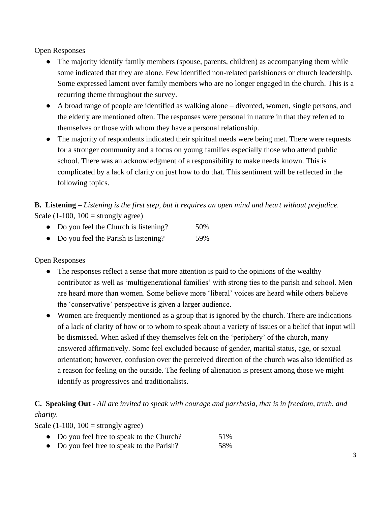Open Responses

- The majority identify family members (spouse, parents, children) as accompanying them while some indicated that they are alone. Few identified non-related parishioners or church leadership. Some expressed lament over family members who are no longer engaged in the church. This is a recurring theme throughout the survey.
- A broad range of people are identified as walking alone divorced, women, single persons, and the elderly are mentioned often. The responses were personal in nature in that they referred to themselves or those with whom they have a personal relationship.
- The majority of respondents indicated their spiritual needs were being met. There were requests for a stronger community and a focus on young families especially those who attend public school. There was an acknowledgment of a responsibility to make needs known. This is complicated by a lack of clarity on just how to do that. This sentiment will be reflected in the following topics.

**B. Listening –** *Listening is the first step, but it requires an open mind and heart without prejudice.* Scale  $(1-100, 100 =$  strongly agree)

- Do you feel the Church is listening? 50%
- Do you feel the Parish is listening? 59%

Open Responses

- The responses reflect a sense that more attention is paid to the opinions of the wealthy contributor as well as 'multigenerational families' with strong ties to the parish and school. Men are heard more than women. Some believe more 'liberal' voices are heard while others believe the 'conservative' perspective is given a larger audience.
- Women are frequently mentioned as a group that is ignored by the church. There are indications of a lack of clarity of how or to whom to speak about a variety of issues or a belief that input will be dismissed. When asked if they themselves felt on the 'periphery' of the church, many answered affirmatively. Some feel excluded because of gender, marital status, age, or sexual orientation; however, confusion over the perceived direction of the church was also identified as a reason for feeling on the outside. The feeling of alienation is present among those we might identify as progressives and traditionalists.

## **C. Speaking Out -** *All are invited to speak with courage and parrhesia, that is in freedom, truth, and charity.*

Scale (1-100,  $100 =$  strongly agree)

- Do you feel free to speak to the Church? 51%
- Do you feel free to speak to the Parish? 58%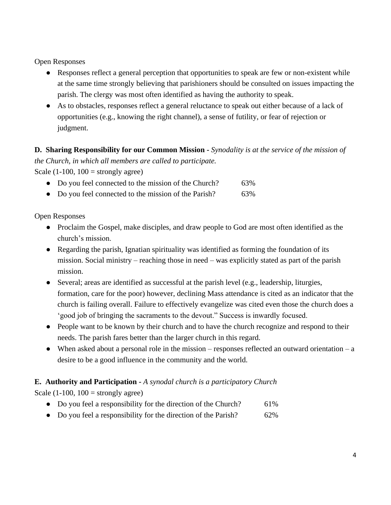Open Responses

- Responses reflect a general perception that opportunities to speak are few or non-existent while at the same time strongly believing that parishioners should be consulted on issues impacting the parish. The clergy was most often identified as having the authority to speak.
- As to obstacles, responses reflect a general reluctance to speak out either because of a lack of opportunities (e.g., knowing the right channel), a sense of futility, or fear of rejection or judgment.

# **D. Sharing Responsibility for our Common Mission -** *Synodality is at the service of the mission of*

*the Church, in which all members are called to participate.*

Scale (1-100,  $100 =$  strongly agree)

- Do you feel connected to the mission of the Church? 63%
- Do you feel connected to the mission of the Parish? 63%

Open Responses

- Proclaim the Gospel, make disciples, and draw people to God are most often identified as the church's mission.
- Regarding the parish, Ignatian spirituality was identified as forming the foundation of its mission. Social ministry – reaching those in need – was explicitly stated as part of the parish mission.
- Several; areas are identified as successful at the parish level (e.g., leadership, liturgies, formation, care for the poor) however, declining Mass attendance is cited as an indicator that the church is failing overall. Failure to effectively evangelize was cited even those the church does a 'good job of bringing the sacraments to the devout." Success is inwardly focused.
- People want to be known by their church and to have the church recognize and respond to their needs. The parish fares better than the larger church in this regard.
- When asked about a personal role in the mission responses reflected an outward orientation a desire to be a good influence in the community and the world.

## **E. Authority and Participation -** *A synodal church is a participatory Church*

Scale  $(1-100, 100 =$  strongly agree)

- Do you feel a responsibility for the direction of the Church? 61%
- Do you feel a responsibility for the direction of the Parish? 62%